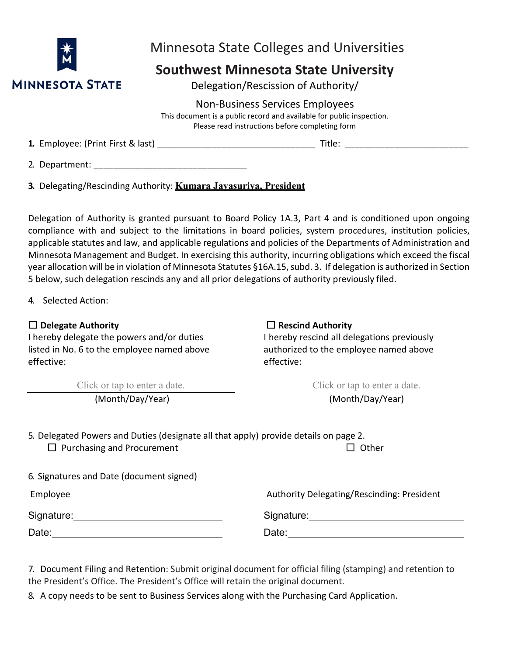

Minnesota State Colleges and Universities

## **Southwest Minnesota State University**

Delegation/Rescission of Authority/

Non-Business Services Employees

This document is a public record and available for public inspection. Please read instructions before completing form

**1.** Employee: (Print First & last) \_\_\_\_\_\_\_\_\_\_\_\_\_\_\_\_\_\_\_\_\_\_\_\_\_\_\_\_\_\_\_\_ Title: \_\_\_\_\_\_\_\_\_\_\_\_\_\_\_\_\_\_\_\_\_\_\_\_\_

2. Department:

**3.** Delegating/Rescinding Authority: **Kumara Jayasuriya, President** 

Delegation of Authority is granted pursuant to Board Policy 1A.3, Part 4 and is conditioned upon ongoing compliance with and subject to the limitations in board policies, system procedures, institution policies, applicable statutes and law, and applicable regulations and policies of the Departments of Administration and Minnesota Management and Budget. In exercising this authority, incurring obligations which exceed the fiscal year allocation will be in violation of Minnesota Statutes §16A.15, subd. 3. If delegation is authorized in Section 5 below, such delegation rescinds any and all prior delegations of authority previously filed.

4. Selected Action:

## ☐ **Delegate Authority**

I hereby delegate the powers and/or duties listed in No. 6 to the employee named above effective:

## ☐ **Rescind Authority**

I hereby rescind all delegations previously authorized to the employee named above effective:

Click or tap to enter a date.

(Month/Day/Year)

Click or tap to enter a date.

(Month/Day/Year)

5. Delegated Powers and Duties (designate all that apply) provide details on page 2. ☐ Purchasing and Procurement ☐ Other

|  |  | 6. Signatures and Date (document signed) |  |
|--|--|------------------------------------------|--|
|  |  |                                          |  |

Signature: <u>state of the set of the set of the set of the set of the set of the set of the set of the set of the set of the set of the set of the set of the set of the set of the set of the set of the set of the set of the</u>

Date: when the contract of the contract of the contract of the contract of the contract of the contract of the contract of the contract of the contract of the contract of the contract of the contract of the contract of the

Employee **Authority Delegating/Rescinding: President** Authority Delegating/Rescinding: President

Signature: **Signature: Signature: Signature: Signature: Signature: Signature: Signature: Signature: Signature: Signature: Signature: Signature: Signature: Signature: Signature: Signature: Si** 

Date: when the contract of the contract of the contract of the contract of the contract of the contract of the contract of the contract of the contract of the contract of the contract of the contract of the contract of the

7. Document Filing and Retention: Submit original document for official filing (stamping) and retention to the President's Office. The President's Office will retain the original document.

8. A copy needs to be sent to Business Services along with the Purchasing Card Application.